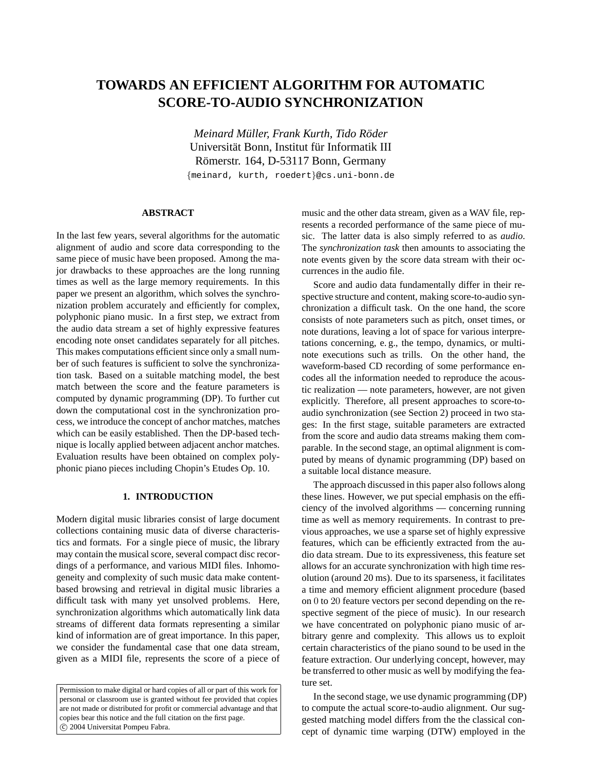# **TOWARDS AN EFFICIENT ALGORITHM FOR AUTOMATIC SCORE-TO-AUDIO SYNCHRONIZATION**

*Meinard Müller, Frank Kurth, Tido Röder* Universität Bonn, Institut für Informatik III Römerstr. 164, D-53117 Bonn, Germany

{meinard, kurth, roedert}@cs.uni-bonn.de

# **ABSTRACT**

In the last few years, several algorithms for the automatic alignment of audio and score data corresponding to the same piece of music have been proposed. Among the major drawbacks to these approaches are the long running times as well as the large memory requirements. In this paper we present an algorithm, which solves the synchronization problem accurately and efficiently for complex, polyphonic piano music. In a first step, we extract from the audio data stream a set of highly expressive features encoding note onset candidates separately for all pitches. This makes computations efficient since only a small number of such features is sufficient to solve the synchronization task. Based on a suitable matching model, the best match between the score and the feature parameters is computed by dynamic programming (DP). To further cut down the computational cost in the synchronization process, we introduce the concept of anchor matches, matches which can be easily established. Then the DP-based technique is locally applied between adjacent anchor matches. Evaluation results have been obtained on complex polyphonic piano pieces including Chopin's Etudes Op. 10.

# **1. INTRODUCTION**

Modern digital music libraries consist of large document collections containing music data of diverse characteristics and formats. For a single piece of music, the library may contain the musical score, several compact disc recordings of a performance, and various MIDI files. Inhomogeneity and complexity of such music data make contentbased browsing and retrieval in digital music libraries a difficult task with many yet unsolved problems. Here, synchronization algorithms which automatically link data streams of different data formats representing a similar kind of information are of great importance. In this paper, we consider the fundamental case that one data stream, given as a MIDI file, represents the score of a piece of music and the other data stream, given as a WAV file, represents a recorded performance of the same piece of music. The latter data is also simply referred to as *audio*. The *synchronization task* then amounts to associating the note events given by the score data stream with their occurrences in the audio file.

Score and audio data fundamentally differ in their respective structure and content, making score-to-audio synchronization a difficult task. On the one hand, the score consists of note parameters such as pitch, onset times, or note durations, leaving a lot of space for various interpretations concerning, e. g., the tempo, dynamics, or multinote executions such as trills. On the other hand, the waveform-based CD recording of some performance encodes all the information needed to reproduce the acoustic realization — note parameters, however, are not given explicitly. Therefore, all present approaches to score-toaudio synchronization (see Section 2) proceed in two stages: In the first stage, suitable parameters are extracted from the score and audio data streams making them comparable. In the second stage, an optimal alignment is computed by means of dynamic programming (DP) based on a suitable local distance measure.

The approach discussed in this paper also follows along these lines. However, we put special emphasis on the efficiency of the involved algorithms — concerning running time as well as memory requirements. In contrast to previous approaches, we use a sparse set of highly expressive features, which can be efficiently extracted from the audio data stream. Due to its expressiveness, this feature set allows for an accurate synchronization with high time resolution (around 20 ms). Due to its sparseness, it facilitates a time and memory efficient alignment procedure (based on 0 to 20 feature vectors per second depending on the respective segment of the piece of music). In our research we have concentrated on polyphonic piano music of arbitrary genre and complexity. This allows us to exploit certain characteristics of the piano sound to be used in the feature extraction. Our underlying concept, however, may be transferred to other music as well by modifying the feature set.

In the second stage, we use dynamic programming (DP) to compute the actual score-to-audio alignment. Our suggested matching model differs from the the classical concept of dynamic time warping (DTW) employed in the

Permission to make digital or hard copies of all or part of this work for personal or classroom use is granted without fee provided that copies are not made or distributed for profit or commercial advantage and that copies bear this notice and the full citation on the first page. °c 2004 Universitat Pompeu Fabra.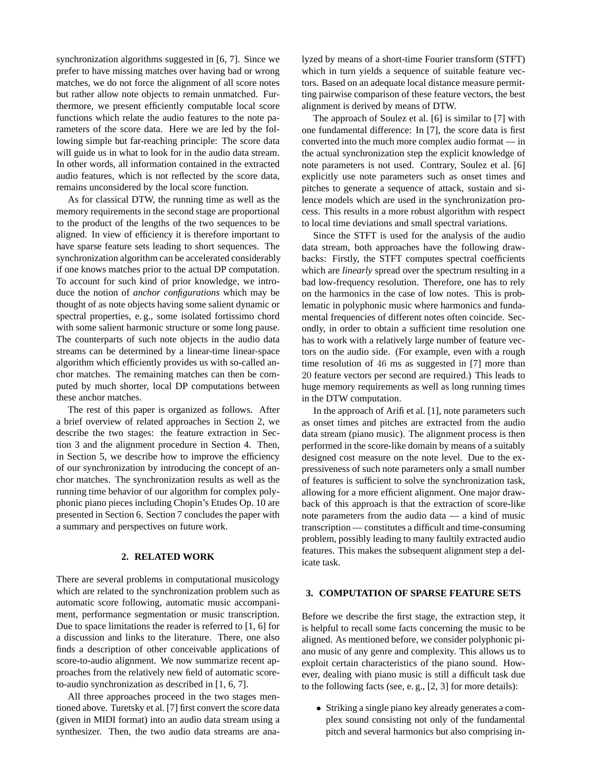synchronization algorithms suggested in [6, 7]. Since we prefer to have missing matches over having bad or wrong matches, we do not force the alignment of all score notes but rather allow note objects to remain unmatched. Furthermore, we present efficiently computable local score functions which relate the audio features to the note parameters of the score data. Here we are led by the following simple but far-reaching principle: The score data will guide us in what to look for in the audio data stream. In other words, all information contained in the extracted audio features, which is not reflected by the score data, remains unconsidered by the local score function.

As for classical DTW, the running time as well as the memory requirements in the second stage are proportional to the product of the lengths of the two sequences to be aligned. In view of efficiency it is therefore important to have sparse feature sets leading to short sequences. The synchronization algorithm can be accelerated considerably if one knows matches prior to the actual DP computation. To account for such kind of prior knowledge, we introduce the notion of *anchor configurations* which may be thought of as note objects having some salient dynamic or spectral properties, e. g., some isolated fortissimo chord with some salient harmonic structure or some long pause. The counterparts of such note objects in the audio data streams can be determined by a linear-time linear-space algorithm which efficiently provides us with so-called anchor matches. The remaining matches can then be computed by much shorter, local DP computations between these anchor matches.

The rest of this paper is organized as follows. After a brief overview of related approaches in Section 2, we describe the two stages: the feature extraction in Section 3 and the alignment procedure in Section 4. Then, in Section 5, we describe how to improve the efficiency of our synchronization by introducing the concept of anchor matches. The synchronization results as well as the running time behavior of our algorithm for complex polyphonic piano pieces including Chopin's Etudes Op. 10 are presented in Section 6. Section 7 concludes the paper with a summary and perspectives on future work.

# **2. RELATED WORK**

There are several problems in computational musicology which are related to the synchronization problem such as automatic score following, automatic music accompaniment, performance segmentation or music transcription. Due to space limitations the reader is referred to [1, 6] for a discussion and links to the literature. There, one also finds a description of other conceivable applications of score-to-audio alignment. We now summarize recent approaches from the relatively new field of automatic scoreto-audio synchronization as described in [1, 6, 7].

All three approaches proceed in the two stages mentioned above. Turetsky et al. [7] first convert the score data (given in MIDI format) into an audio data stream using a synthesizer. Then, the two audio data streams are analyzed by means of a short-time Fourier transform (STFT) which in turn yields a sequence of suitable feature vectors. Based on an adequate local distance measure permitting pairwise comparison of these feature vectors, the best alignment is derived by means of DTW.

The approach of Soulez et al. [6] is similar to [7] with one fundamental difference: In [7], the score data is first converted into the much more complex audio format — in the actual synchronization step the explicit knowledge of note parameters is not used. Contrary, Soulez et al. [6] explicitly use note parameters such as onset times and pitches to generate a sequence of attack, sustain and silence models which are used in the synchronization process. This results in a more robust algorithm with respect to local time deviations and small spectral variations.

Since the STFT is used for the analysis of the audio data stream, both approaches have the following drawbacks: Firstly, the STFT computes spectral coefficients which are *linearly* spread over the spectrum resulting in a bad low-frequency resolution. Therefore, one has to rely on the harmonics in the case of low notes. This is problematic in polyphonic music where harmonics and fundamental frequencies of different notes often coincide. Secondly, in order to obtain a sufficient time resolution one has to work with a relatively large number of feature vectors on the audio side. (For example, even with a rough time resolution of 46 ms as suggested in [7] more than 20 feature vectors per second are required.) This leads to huge memory requirements as well as long running times in the DTW computation.

In the approach of Arifi et al. [1], note parameters such as onset times and pitches are extracted from the audio data stream (piano music). The alignment process is then performed in the score-like domain by means of a suitably designed cost measure on the note level. Due to the expressiveness of such note parameters only a small number of features is sufficient to solve the synchronization task, allowing for a more efficient alignment. One major drawback of this approach is that the extraction of score-like note parameters from the audio data — a kind of music transcription — constitutes a difficult and time-consuming problem, possibly leading to many faultily extracted audio features. This makes the subsequent alignment step a delicate task.

## **3. COMPUTATION OF SPARSE FEATURE SETS**

Before we describe the first stage, the extraction step, it is helpful to recall some facts concerning the music to be aligned. As mentioned before, we consider polyphonic piano music of any genre and complexity. This allows us to exploit certain characteristics of the piano sound. However, dealing with piano music is still a difficult task due to the following facts (see, e. g., [2, 3] for more details):

• Striking a single piano key already generates a complex sound consisting not only of the fundamental pitch and several harmonics but also comprising in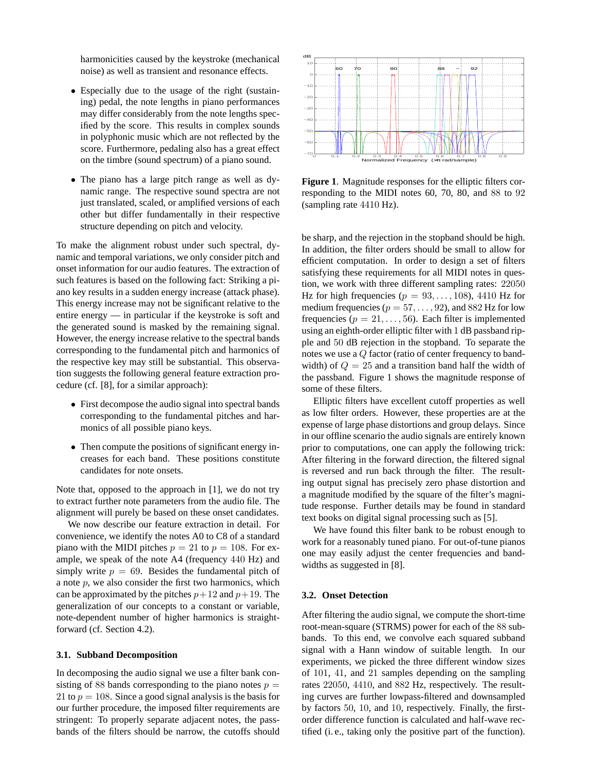harmonicities caused by the keystroke (mechanical noise) as well as transient and resonance effects.

- Especially due to the usage of the right (sustaining) pedal, the note lengths in piano performances may differ considerably from the note lengths specified by the score. This results in complex sounds in polyphonic music which are not reflected by the score. Furthermore, pedaling also has a great effect on the timbre (sound spectrum) of a piano sound.
- The piano has a large pitch range as well as dynamic range. The respective sound spectra are not just translated, scaled, or amplified versions of each other but differ fundamentally in their respective structure depending on pitch and velocity.

To make the alignment robust under such spectral, dynamic and temporal variations, we only consider pitch and onset information for our audio features. The extraction of such features is based on the following fact: Striking a piano key results in a sudden energy increase (attack phase). This energy increase may not be significant relative to the entire energy — in particular if the keystroke is soft and the generated sound is masked by the remaining signal. However, the energy increase relative to the spectral bands corresponding to the fundamental pitch and harmonics of the respective key may still be substantial. This observation suggests the following general feature extraction procedure (cf. [8], for a similar approach):

- First decompose the audio signal into spectral bands corresponding to the fundamental pitches and harmonics of all possible piano keys.
- Then compute the positions of significant energy increases for each band. These positions constitute candidates for note onsets.

Note that, opposed to the approach in [1], we do not try to extract further note parameters from the audio file. The alignment will purely be based on these onset candidates.

We now describe our feature extraction in detail. For convenience, we identify the notes A0 to C8 of a standard piano with the MIDI pitches  $p = 21$  to  $p = 108$ . For example, we speak of the note A4 (frequency 440 Hz) and simply write  $p = 69$ . Besides the fundamental pitch of a note  $p$ , we also consider the first two harmonics, which can be approximated by the pitches  $p+12$  and  $p+19$ . The generalization of our concepts to a constant or variable, note-dependent number of higher harmonics is straightforward (cf. Section 4.2).

#### **3.1. Subband Decomposition**

In decomposing the audio signal we use a filter bank consisting of 88 bands corresponding to the piano notes  $p =$ 21 to  $p = 108$ . Since a good signal analysis is the basis for our further procedure, the imposed filter requirements are stringent: To properly separate adjacent notes, the passbands of the filters should be narrow, the cutoffs should



**Figure 1**. Magnitude responses for the elliptic filters corresponding to the MIDI notes 60, 70, 80, and 88 to 92 (sampling rate 4410 Hz).

be sharp, and the rejection in the stopband should be high. In addition, the filter orders should be small to allow for efficient computation. In order to design a set of filters satisfying these requirements for all MIDI notes in question, we work with three different sampling rates: 22050 Hz for high frequencies ( $p = 93, \ldots, 108$ ), 4410 Hz for medium frequencies ( $p = 57, \ldots, 92$ ), and 882 Hz for low frequencies ( $p = 21, \ldots, 56$ ). Each filter is implemented using an eighth-order elliptic filter with 1 dB passband ripple and 50 dB rejection in the stopband. To separate the notes we use a Q factor (ratio of center frequency to bandwidth) of  $Q = 25$  and a transition band half the width of the passband. Figure 1 shows the magnitude response of some of these filters.

Elliptic filters have excellent cutoff properties as well as low filter orders. However, these properties are at the expense of large phase distortions and group delays. Since in our offline scenario the audio signals are entirely known prior to computations, one can apply the following trick: After filtering in the forward direction, the filtered signal is reversed and run back through the filter. The resulting output signal has precisely zero phase distortion and a magnitude modified by the square of the filter's magnitude response. Further details may be found in standard text books on digital signal processing such as [5].

We have found this filter bank to be robust enough to work for a reasonably tuned piano. For out-of-tune pianos one may easily adjust the center frequencies and bandwidths as suggested in [8].

## **3.2. Onset Detection**

After filtering the audio signal, we compute the short-time root-mean-square (STRMS) power for each of the 88 subbands. To this end, we convolve each squared subband signal with a Hann window of suitable length. In our experiments, we picked the three different window sizes of 101, 41, and 21 samples depending on the sampling rates 22050, 4410, and 882 Hz, respectively. The resulting curves are further lowpass-filtered and downsampled by factors 50, 10, and 10, respectively. Finally, the firstorder difference function is calculated and half-wave rectified (i. e., taking only the positive part of the function).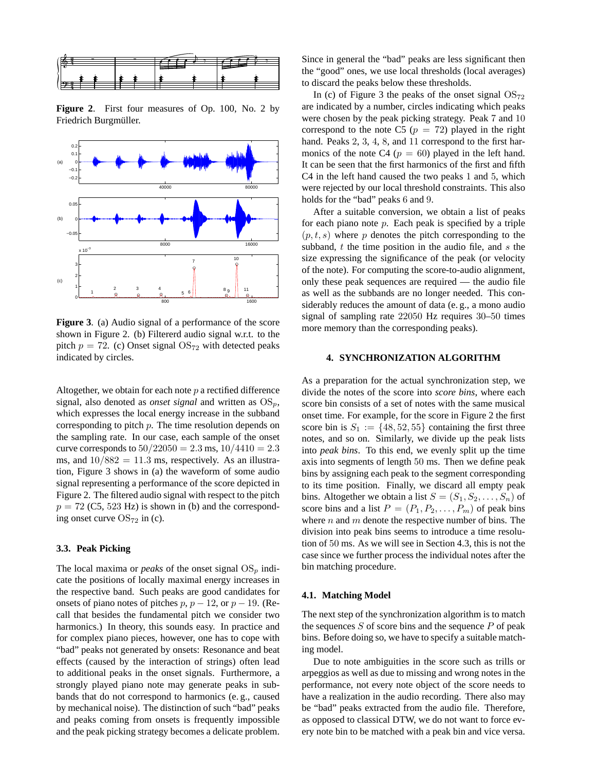

**Figure 2**. First four measures of Op. 100, No. 2 by Friedrich Burgmüller.



**Figure 3**. (a) Audio signal of a performance of the score shown in Figure 2. (b) Filtererd audio signal w.r.t. to the pitch  $p = 72$ . (c) Onset signal  $OS_{72}$  with detected peaks indicated by circles.

Altogether, we obtain for each note  $p$  a rectified difference signal, also denoted as *onset signal* and written as  $OS_p$ , which expresses the local energy increase in the subband corresponding to pitch p. The time resolution depends on the sampling rate. In our case, each sample of the onset curve corresponds to  $50/22050 = 2.3$  ms,  $10/4410 = 2.3$ ms, and  $10/882 = 11.3$  ms, respectively. As an illustration, Figure 3 shows in (a) the waveform of some audio signal representing a performance of the score depicted in Figure 2. The filtered audio signal with respect to the pitch  $p = 72$  (C5, 523 Hz) is shown in (b) and the corresponding onset curve  $OS_{72}$  in (c).

### **3.3. Peak Picking**

The local maxima or *peaks* of the onset signal  $OS_p$  indicate the positions of locally maximal energy increases in the respective band. Such peaks are good candidates for onsets of piano notes of pitches  $p, p - 12$ , or  $p - 19$ . (Recall that besides the fundamental pitch we consider two harmonics.) In theory, this sounds easy. In practice and for complex piano pieces, however, one has to cope with "bad" peaks not generated by onsets: Resonance and beat effects (caused by the interaction of strings) often lead to additional peaks in the onset signals. Furthermore, a strongly played piano note may generate peaks in subbands that do not correspond to harmonics (e. g., caused by mechanical noise). The distinction of such "bad" peaks and peaks coming from onsets is frequently impossible and the peak picking strategy becomes a delicate problem. Since in general the "bad" peaks are less significant then the "good" ones, we use local thresholds (local averages) to discard the peaks below these thresholds.

In (c) of Figure 3 the peaks of the onset signal  $OS_{72}$ are indicated by a number, circles indicating which peaks were chosen by the peak picking strategy. Peak 7 and 10 correspond to the note C5  $(p = 72)$  played in the right hand. Peaks 2, 3, 4, 8, and 11 correspond to the first harmonics of the note C4 ( $p = 60$ ) played in the left hand. It can be seen that the first harmonics of the first and fifth C4 in the left hand caused the two peaks 1 and 5, which were rejected by our local threshold constraints. This also holds for the "bad" peaks 6 and 9.

After a suitable conversion, we obtain a list of peaks for each piano note  $p$ . Each peak is specified by a triple  $(p, t, s)$  where p denotes the pitch corresponding to the subband,  $t$  the time position in the audio file, and  $s$  the size expressing the significance of the peak (or velocity of the note). For computing the score-to-audio alignment, only these peak sequences are required — the audio file as well as the subbands are no longer needed. This considerably reduces the amount of data (e. g., a mono audio signal of sampling rate 22050 Hz requires 30–50 times more memory than the corresponding peaks).

# **4. SYNCHRONIZATION ALGORITHM**

As a preparation for the actual synchronization step, we divide the notes of the score into *score bins*, where each score bin consists of a set of notes with the same musical onset time. For example, for the score in Figure 2 the first score bin is  $S_1 := \{48, 52, 55\}$  containing the first three notes, and so on. Similarly, we divide up the peak lists into *peak bins*. To this end, we evenly split up the time axis into segments of length 50 ms. Then we define peak bins by assigning each peak to the segment corresponding to its time position. Finally, we discard all empty peak bins. Altogether we obtain a list  $S = (S_1, S_2, \dots, S_n)$  of score bins and a list  $P = (P_1, P_2, \dots, P_m)$  of peak bins where  $n$  and  $m$  denote the respective number of bins. The division into peak bins seems to introduce a time resolution of 50 ms. As we will see in Section 4.3, this is not the case since we further process the individual notes after the bin matching procedure.

#### **4.1. Matching Model**

The next step of the synchronization algorithm is to match the sequences  $S$  of score bins and the sequence  $P$  of peak bins. Before doing so, we have to specify a suitable matching model.

Due to note ambiguities in the score such as trills or arpeggios as well as due to missing and wrong notes in the performance, not every note object of the score needs to have a realization in the audio recording. There also may be "bad" peaks extracted from the audio file. Therefore, as opposed to classical DTW, we do not want to force every note bin to be matched with a peak bin and vice versa.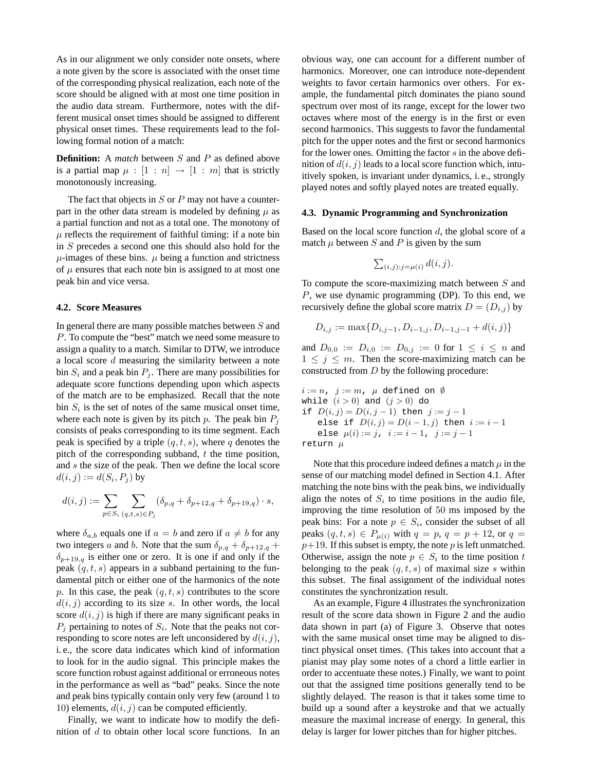As in our alignment we only consider note onsets, where a note given by the score is associated with the onset time of the corresponding physical realization, each note of the score should be aligned with at most one time position in the audio data stream. Furthermore, notes with the different musical onset times should be assigned to different physical onset times. These requirements lead to the following formal notion of a match:

**Definition:** A *match* between S and P as defined above is a partial map  $\mu : [1 : n] \rightarrow [1 : m]$  that is strictly monotonously increasing.

The fact that objects in  $S$  or  $P$  may not have a counterpart in the other data stream is modeled by defining  $\mu$  as a partial function and not as a total one. The monotony of  $\mu$  reflects the requirement of faithful timing: if a note bin in S precedes a second one this should also hold for the  $\mu$ -images of these bins.  $\mu$  being a function and strictness of  $\mu$  ensures that each note bin is assigned to at most one peak bin and vice versa.

#### **4.2. Score Measures**

In general there are many possible matches between S and P. To compute the "best" match we need some measure to assign a quality to a match. Similar to DTW, we introduce a local score d measuring the similarity between a note bin  $S_i$  and a peak bin  $P_i$ . There are many possibilities for adequate score functions depending upon which aspects of the match are to be emphasized. Recall that the note bin  $S_i$  is the set of notes of the same musical onset time, where each note is given by its pitch p. The peak bin  $P_i$ consists of peaks corresponding to its time segment. Each peak is specified by a triple  $(q, t, s)$ , where q denotes the pitch of the corresponding subband,  $t$  the time position, and s the size of the peak. Then we define the local score  $d(i, j) := d(S_i, P_j)$  by

$$
d(i,j) := \sum_{p \in S_i} \sum_{(q,t,s) \in P_j} (\delta_{p,q} + \delta_{p+12,q} + \delta_{p+19,q}) \cdot s,
$$

where  $\delta_{a,b}$  equals one if  $a = b$  and zero if  $a \neq b$  for any two integers a and b. Note that the sum  $\delta_{p,q} + \delta_{p+1,q} +$  $\delta_{p+19,q}$  is either one or zero. It is one if and only if the peak  $(q, t, s)$  appears in a subband pertaining to the fundamental pitch or either one of the harmonics of the note p. In this case, the peak  $(q, t, s)$  contributes to the score  $d(i, j)$  according to its size s. In other words, the local score  $d(i, j)$  is high if there are many significant peaks in  $P_j$  pertaining to notes of  $S_i$ . Note that the peaks not corresponding to score notes are left unconsidered by  $d(i, j)$ , i. e., the score data indicates which kind of information to look for in the audio signal. This principle makes the score function robust against additional or erroneous notes in the performance as well as "bad" peaks. Since the note and peak bins typically contain only very few (around 1 to 10) elements,  $d(i, j)$  can be computed efficiently.

Finally, we want to indicate how to modify the definition of d to obtain other local score functions. In an obvious way, one can account for a different number of harmonics. Moreover, one can introduce note-dependent weights to favor certain harmonics over others. For example, the fundamental pitch dominates the piano sound spectrum over most of its range, except for the lower two octaves where most of the energy is in the first or even second harmonics. This suggests to favor the fundamental pitch for the upper notes and the first or second harmonics for the lower ones. Omitting the factor  $s$  in the above definition of  $d(i, j)$  leads to a local score function which, intuitively spoken, is invariant under dynamics, i. e., strongly played notes and softly played notes are treated equally.

## **4.3. Dynamic Programming and Synchronization**

Based on the local score function  $d$ , the global score of a match  $\mu$  between S and P is given by the sum

$$
\sum_{(i,j):j=\mu(i)} d(i,j).
$$

To compute the score-maximizing match between  $S$  and P, we use dynamic programming (DP). To this end, we recursively define the global score matrix  $D = (D_{i,j})$  by

$$
D_{i,j} := \max\{D_{i,j-1}, D_{i-1,j}, D_{i-1,j-1} + d(i,j)\}
$$

and  $D_{0,0} := D_{i,0} := D_{0,j} := 0$  for  $1 \leq i \leq n$  and  $1 \leq j \leq m$ . Then the score-maximizing match can be constructed from D by the following procedure:

 $i := n$ ,  $j := m$ ,  $\mu$  defined on  $\emptyset$ while  $(i > 0)$  and  $(j > 0)$  do if  $D(i, j) = D(i, j - 1)$  then  $j := j - 1$ else if  $D(i, j) = D(i - 1, j)$  then  $i := i - 1$ else  $\mu(i) := j$ ,  $i := i - 1$ ,  $j := j - 1$ return  $\mu$ 

Note that this procedure indeed defines a match  $\mu$  in the sense of our matching model defined in Section 4.1. After matching the note bins with the peak bins, we individually align the notes of  $S_i$  to time positions in the audio file, improving the time resolution of 50 ms imposed by the peak bins: For a note  $p \in S_i$ , consider the subset of all peaks  $(q, t, s) \in P_{\mu(i)}$  with  $q = p, q = p + 12$ , or  $q =$  $p+19$ . If this subset is empty, the note p is left unmatched. Otherwise, assign the note  $p \in S_i$  to the time position t belonging to the peak  $(q, t, s)$  of maximal size s within this subset. The final assignment of the individual notes constitutes the synchronization result.

As an example, Figure 4 illustrates the synchronization result of the score data shown in Figure 2 and the audio data shown in part (a) of Figure 3. Observe that notes with the same musical onset time may be aligned to distinct physical onset times. (This takes into account that a pianist may play some notes of a chord a little earlier in order to accentuate these notes.) Finally, we want to point out that the assigned time positions generally tend to be slightly delayed. The reason is that it takes some time to build up a sound after a keystroke and that we actually measure the maximal increase of energy. In general, this delay is larger for lower pitches than for higher pitches.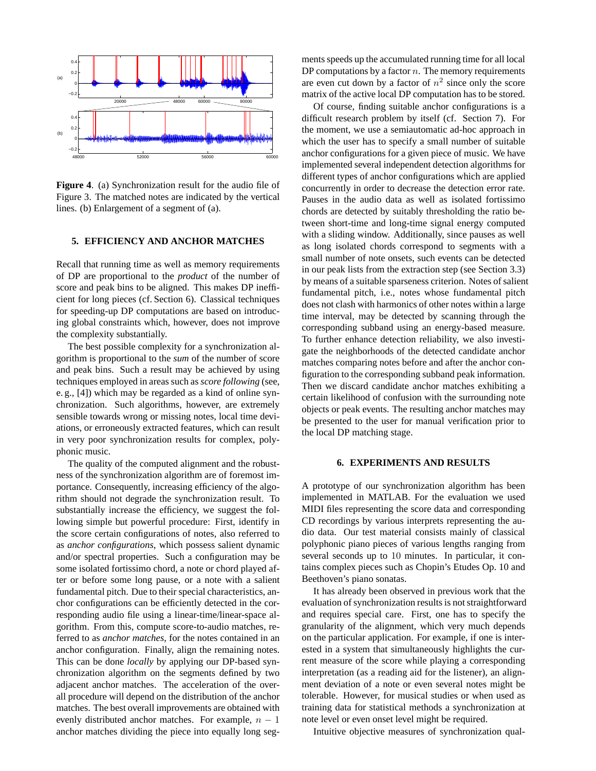

**Figure 4**. (a) Synchronization result for the audio file of Figure 3. The matched notes are indicated by the vertical lines. (b) Enlargement of a segment of (a).

## **5. EFFICIENCY AND ANCHOR MATCHES**

Recall that running time as well as memory requirements of DP are proportional to the *product* of the number of score and peak bins to be aligned. This makes DP inefficient for long pieces (cf. Section 6). Classical techniques for speeding-up DP computations are based on introducing global constraints which, however, does not improve the complexity substantially.

The best possible complexity for a synchronization algorithm is proportional to the *sum* of the number of score and peak bins. Such a result may be achieved by using techniques employed in areas such as *score following* (see, e. g., [4]) which may be regarded as a kind of online synchronization. Such algorithms, however, are extremely sensible towards wrong or missing notes, local time deviations, or erroneously extracted features, which can result in very poor synchronization results for complex, polyphonic music.

The quality of the computed alignment and the robustness of the synchronization algorithm are of foremost importance. Consequently, increasing efficiency of the algorithm should not degrade the synchronization result. To substantially increase the efficiency, we suggest the following simple but powerful procedure: First, identify in the score certain configurations of notes, also referred to as *anchor configurations*, which possess salient dynamic and/or spectral properties. Such a configuration may be some isolated fortissimo chord, a note or chord played after or before some long pause, or a note with a salient fundamental pitch. Due to their special characteristics, anchor configurations can be efficiently detected in the corresponding audio file using a linear-time/linear-space algorithm. From this, compute score-to-audio matches, referred to as *anchor matches*, for the notes contained in an anchor configuration. Finally, align the remaining notes. This can be done *locally* by applying our DP-based synchronization algorithm on the segments defined by two adjacent anchor matches. The acceleration of the overall procedure will depend on the distribution of the anchor matches. The best overall improvements are obtained with evenly distributed anchor matches. For example,  $n - 1$ anchor matches dividing the piece into equally long segments speeds up the accumulated running time for all local DP computations by a factor  $n$ . The memory requirements are even cut down by a factor of  $n^2$  since only the score matrix of the active local DP computation has to be stored.

Of course, finding suitable anchor configurations is a difficult research problem by itself (cf. Section 7). For the moment, we use a semiautomatic ad-hoc approach in which the user has to specify a small number of suitable anchor configurations for a given piece of music. We have implemented several independent detection algorithms for different types of anchor configurations which are applied concurrently in order to decrease the detection error rate. Pauses in the audio data as well as isolated fortissimo chords are detected by suitably thresholding the ratio between short-time and long-time signal energy computed with a sliding window. Additionally, since pauses as well as long isolated chords correspond to segments with a small number of note onsets, such events can be detected in our peak lists from the extraction step (see Section 3.3) by means of a suitable sparseness criterion. Notes of salient fundamental pitch, i.e., notes whose fundamental pitch does not clash with harmonics of other notes within a large time interval, may be detected by scanning through the corresponding subband using an energy-based measure. To further enhance detection reliability, we also investigate the neighborhoods of the detected candidate anchor matches comparing notes before and after the anchor configuration to the corresponding subband peak information. Then we discard candidate anchor matches exhibiting a certain likelihood of confusion with the surrounding note objects or peak events. The resulting anchor matches may be presented to the user for manual verification prior to the local DP matching stage.

## **6. EXPERIMENTS AND RESULTS**

A prototype of our synchronization algorithm has been implemented in MATLAB. For the evaluation we used MIDI files representing the score data and corresponding CD recordings by various interprets representing the audio data. Our test material consists mainly of classical polyphonic piano pieces of various lengths ranging from several seconds up to 10 minutes. In particular, it contains complex pieces such as Chopin's Etudes Op. 10 and Beethoven's piano sonatas.

It has already been observed in previous work that the evaluation of synchronization results is not straightforward and requires special care. First, one has to specify the granularity of the alignment, which very much depends on the particular application. For example, if one is interested in a system that simultaneously highlights the current measure of the score while playing a corresponding interpretation (as a reading aid for the listener), an alignment deviation of a note or even several notes might be tolerable. However, for musical studies or when used as training data for statistical methods a synchronization at note level or even onset level might be required.

Intuitive objective measures of synchronization qual-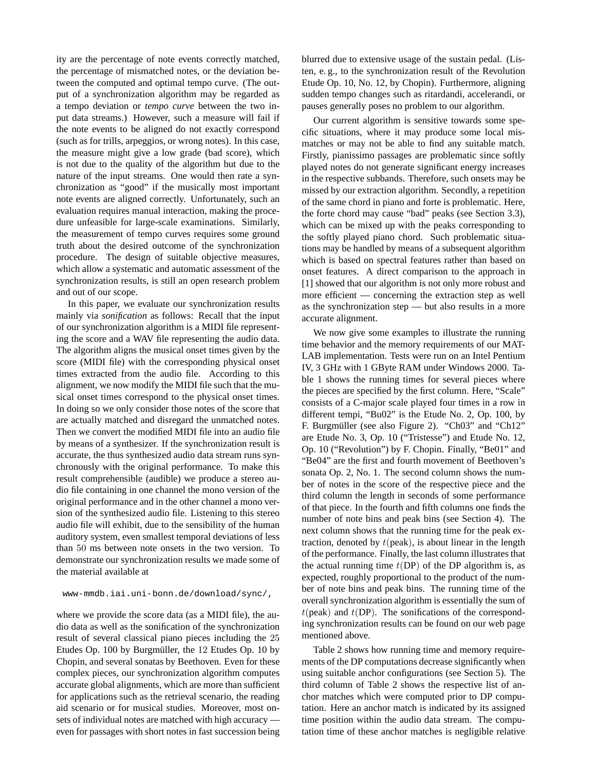ity are the percentage of note events correctly matched, the percentage of mismatched notes, or the deviation between the computed and optimal tempo curve. (The output of a synchronization algorithm may be regarded as a tempo deviation or *tempo curve* between the two input data streams.) However, such a measure will fail if the note events to be aligned do not exactly correspond (such as for trills, arpeggios, or wrong notes). In this case, the measure might give a low grade (bad score), which is not due to the quality of the algorithm but due to the nature of the input streams. One would then rate a synchronization as "good" if the musically most important note events are aligned correctly. Unfortunately, such an evaluation requires manual interaction, making the procedure unfeasible for large-scale examinations. Similarly, the measurement of tempo curves requires some ground truth about the desired outcome of the synchronization procedure. The design of suitable objective measures, which allow a systematic and automatic assessment of the synchronization results, is still an open research problem and out of our scope.

In this paper, we evaluate our synchronization results mainly via *sonification* as follows: Recall that the input of our synchronization algorithm is a MIDI file representing the score and a WAV file representing the audio data. The algorithm aligns the musical onset times given by the score (MIDI file) with the corresponding physical onset times extracted from the audio file. According to this alignment, we now modify the MIDI file such that the musical onset times correspond to the physical onset times. In doing so we only consider those notes of the score that are actually matched and disregard the unmatched notes. Then we convert the modified MIDI file into an audio file by means of a synthesizer. If the synchronization result is accurate, the thus synthesized audio data stream runs synchronously with the original performance. To make this result comprehensible (audible) we produce a stereo audio file containing in one channel the mono version of the original performance and in the other channel a mono version of the synthesized audio file. Listening to this stereo audio file will exhibit, due to the sensibility of the human auditory system, even smallest temporal deviations of less than 50 ms between note onsets in the two version. To demonstrate our synchronization results we made some of the material available at

#### www-mmdb.iai.uni-bonn.de/download/sync/,

where we provide the score data (as a MIDI file), the audio data as well as the sonification of the synchronization result of several classical piano pieces including the 25 Etudes Op. 100 by Burgmüller, the 12 Etudes Op. 10 by Chopin, and several sonatas by Beethoven. Even for these complex pieces, our synchronization algorithm computes accurate global alignments, which are more than sufficient for applications such as the retrieval scenario, the reading aid scenario or for musical studies. Moreover, most onsets of individual notes are matched with high accuracy even for passages with short notes in fast succession being blurred due to extensive usage of the sustain pedal. (Listen, e. g., to the synchronization result of the Revolution Etude Op. 10, No. 12, by Chopin). Furthermore, aligning sudden tempo changes such as ritardandi, accelerandi, or pauses generally poses no problem to our algorithm.

Our current algorithm is sensitive towards some specific situations, where it may produce some local mismatches or may not be able to find any suitable match. Firstly, pianissimo passages are problematic since softly played notes do not generate significant energy increases in the respective subbands. Therefore, such onsets may be missed by our extraction algorithm. Secondly, a repetition of the same chord in piano and forte is problematic. Here, the forte chord may cause "bad" peaks (see Section 3.3), which can be mixed up with the peaks corresponding to the softly played piano chord. Such problematic situations may be handled by means of a subsequent algorithm which is based on spectral features rather than based on onset features. A direct comparison to the approach in [1] showed that our algorithm is not only more robust and more efficient — concerning the extraction step as well as the synchronization step — but also results in a more accurate alignment.

We now give some examples to illustrate the running time behavior and the memory requirements of our MAT-LAB implementation. Tests were run on an Intel Pentium IV, 3 GHz with 1 GByte RAM under Windows 2000. Table 1 shows the running times for several pieces where the pieces are specified by the first column. Here, "Scale" consists of a C-major scale played four times in a row in different tempi, "Bu02" is the Etude No. 2, Op. 100, by F. Burgmüller (see also Figure 2). "Ch03" and "Ch12" are Etude No. 3, Op. 10 ("Tristesse") and Etude No. 12, Op. 10 ("Revolution") by F. Chopin. Finally, "Be01" and "Be04" are the first and fourth movement of Beethoven's sonata Op. 2, No. 1. The second column shows the number of notes in the score of the respective piece and the third column the length in seconds of some performance of that piece. In the fourth and fifth columns one finds the number of note bins and peak bins (see Section 4). The next column shows that the running time for the peak extraction, denoted by  $t$ (peak), is about linear in the length of the performance. Finally, the last column illustrates that the actual running time  $t(DP)$  of the DP algorithm is, as expected, roughly proportional to the product of the number of note bins and peak bins. The running time of the overall synchronization algorithm is essentially the sum of  $t$ (peak) and  $t$ (DP). The sonifications of the corresponding synchronization results can be found on our web page mentioned above.

Table 2 shows how running time and memory requirements of the DP computations decrease significantly when using suitable anchor configurations (see Section 5). The third column of Table 2 shows the respective list of anchor matches which were computed prior to DP computation. Here an anchor match is indicated by its assigned time position within the audio data stream. The computation time of these anchor matches is negligible relative